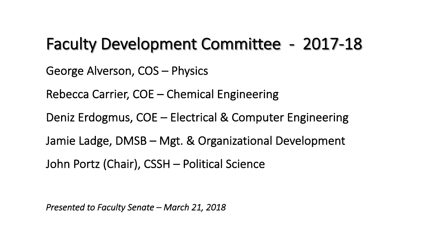#### Faculty Development Committee - 2017-18

George Alverson, COS – Physics

Rebecca Carrier, COE – Chemical Engineering

Deniz Erdogmus, COE – Electrical & Computer Engineering

Jamie Ladge, DMSB – Mgt. & Organizational Development

John Portz (Chair), CSSH – Political Science

*Presented to Faculty Senate – March 21, 2018*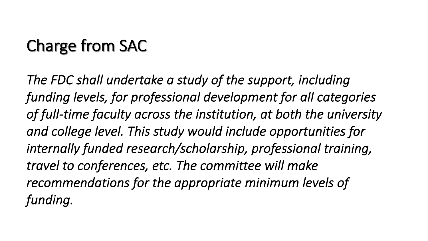# Charge from SAC

*The FDC shall undertake a study of the support, including funding levels, for professional development for all categories of full-time faculty across the institution, at both the university and college level. This study would include opportunities for internally funded research/scholarship, professional training, travel to conferences, etc. The committee will make recommendations for the appropriate minimum levels of funding.*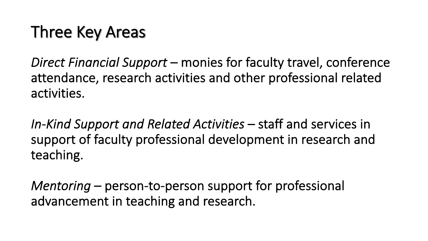## Three Key Areas

*Direct Financial Support* – monies for faculty travel, conference attendance, research activities and other professional related activities.

In-Kind Support and Related Activities – staff and services in support of faculty professional development in research and teaching.

*Mentoring* – person-to-person support for professional advancement in teaching and research.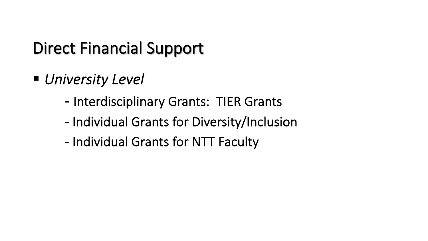## Direct Financial Support

- *University Level* 
	- Interdisciplinary Grants: TIER Grants
	- Individual Grants for Diversity/Inclusion
	- Individual Grants for NTT Faculty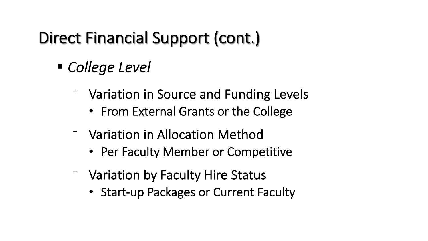# Direct Financial Support (cont.)

- *College Level* 
	- ⁻ Variation in Source and Funding Levels
		- From External Grants or the College
	- ⁻ Variation in Allocation Method
		- Per Faculty Member or Competitive
	- ⁻ Variation by Faculty Hire Status
		- Start-up Packages or Current Faculty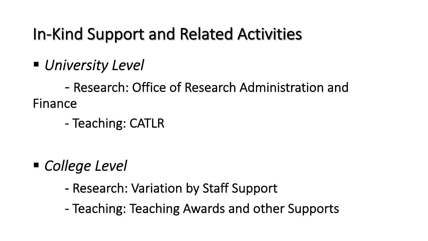## In-Kind Support and Related Activities

§ *University Level*

- Research: Office of Research Administration and Finance

- Teaching: CATLR

- *College Level* 
	- Research: Variation by Staff Support
	- Teaching: Teaching Awards and other Supports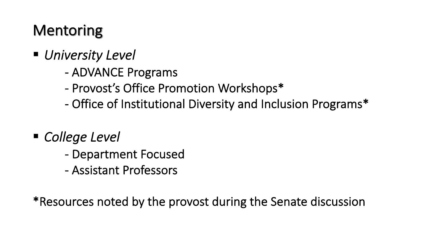### Mentoring

- § *University Level*
	- ADVANCE Programs
	- Provost's Office Promotion Workshops\*
	- Office of Institutional Diversity and Inclusion Programs\*
- *College Level* 
	- Department Focused
	- Assistant Professors

\*Resources noted by the provost during the Senate discussion